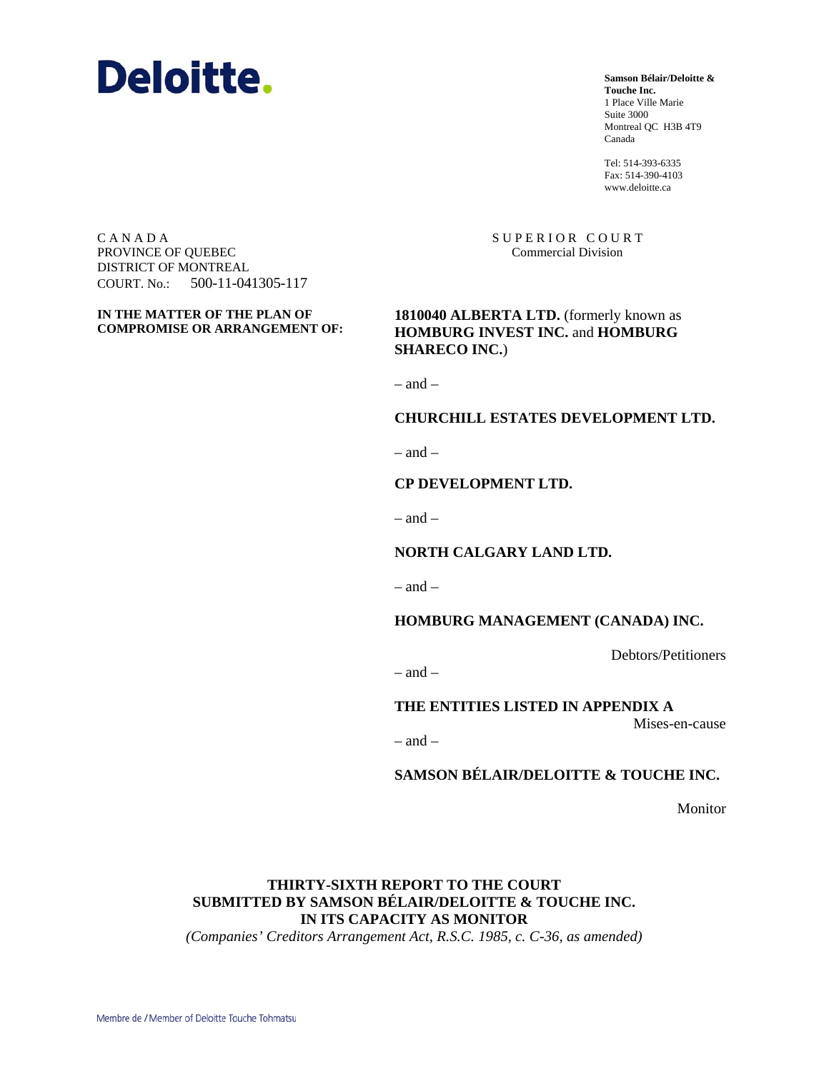

**Samson Bélair/Deloitte & Touche Inc.** 1 Place Ville Marie Suite 3000 Montreal QC H3B 4T9 Canada

Tel: 514-393-6335 Fax: 514-390-4103 www.deloitte.ca

SUPERIOR COURT Commercial Division

C A N A D A PROVINCE OF QUEBEC DISTRICT OF MONTREAL COURT. No.: 500-11-041305-117

**IN THE MATTER OF THE PLAN OF COMPROMISE OR ARRANGEMENT OF:**  1810040 ALBERTA LTD. (formerly known as **HOMBURG INVEST INC.** and **HOMBURG SHARECO INC.**)

 $=$  and  $=$ 

#### **CHURCHILL ESTATES DEVELOPMENT LTD.**

 $-$  and  $-$ 

#### **CP DEVELOPMENT LTD.**

 $=$  and  $=$ 

**NORTH CALGARY LAND LTD.** 

 $-$  and  $-$ 

**HOMBURG MANAGEMENT (CANADA) INC.** 

Debtors/Petitioners

 $-$  and  $-$ 

**THE ENTITIES LISTED IN APPENDIX A** 

Mises-en-cause

 $=$  and  $=$ 

**SAMSON BÉLAIR/DELOITTE & TOUCHE INC.** 

Monitor

# **THIRTY-SIXTH REPORT TO THE COURT SUBMITTED BY SAMSON BÉLAIR/DELOITTE & TOUCHE INC. IN ITS CAPACITY AS MONITOR**

*(Companies' Creditors Arrangement Act, R.S.C. 1985, c. C-36, as amended)*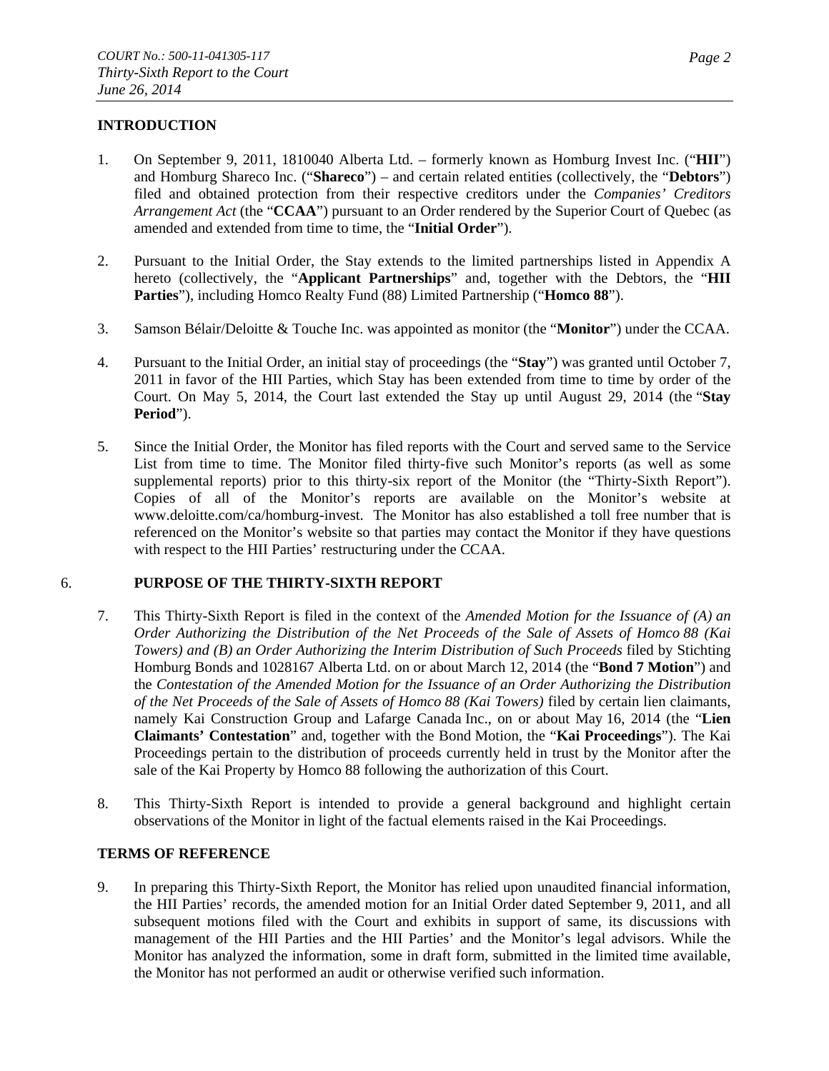# **INTRODUCTION**

- 1. On September 9, 2011, 1810040 Alberta Ltd. formerly known as Homburg Invest Inc. ("**HII**") and Homburg Shareco Inc. ("**Shareco**") – and certain related entities (collectively, the "**Debtors**") filed and obtained protection from their respective creditors under the *Companies' Creditors Arrangement Act* (the "**CCAA**") pursuant to an Order rendered by the Superior Court of Quebec (as amended and extended from time to time, the "**Initial Order**").
- 2. Pursuant to the Initial Order, the Stay extends to the limited partnerships listed in Appendix A hereto (collectively, the "**Applicant Partnerships**" and, together with the Debtors, the "**HII Parties**"), including Homco Realty Fund (88) Limited Partnership ("**Homco 88**").
- 3. Samson Bélair/Deloitte & Touche Inc. was appointed as monitor (the "**Monitor**") under the CCAA.
- 4. Pursuant to the Initial Order, an initial stay of proceedings (the "**Stay**") was granted until October 7, 2011 in favor of the HII Parties, which Stay has been extended from time to time by order of the Court. On May 5, 2014, the Court last extended the Stay up until August 29, 2014 (the "**Stay Period**").
- 5. Since the Initial Order, the Monitor has filed reports with the Court and served same to the Service List from time to time. The Monitor filed thirty-five such Monitor's reports (as well as some supplemental reports) prior to this thirty-six report of the Monitor (the "Thirty-Sixth Report"). Copies of all of the Monitor's reports are available on the Monitor's website at www.deloitte.com/ca/homburg-invest. The Monitor has also established a toll free number that is referenced on the Monitor's website so that parties may contact the Monitor if they have questions with respect to the HII Parties' restructuring under the CCAA.

## 6. **PURPOSE OF THE THIRTY-SIXTH REPORT**

- 7. This Thirty-Sixth Report is filed in the context of the *Amended Motion for the Issuance of (A) an Order Authorizing the Distribution of the Net Proceeds of the Sale of Assets of Homco 88 (Kai Towers) and (B) an Order Authorizing the Interim Distribution of Such Proceeds* filed by Stichting Homburg Bonds and 1028167 Alberta Ltd. on or about March 12, 2014 (the "**Bond 7 Motion**") and the *Contestation of the Amended Motion for the Issuance of an Order Authorizing the Distribution of the Net Proceeds of the Sale of Assets of Homco 88 (Kai Towers)* filed by certain lien claimants, namely Kai Construction Group and Lafarge Canada Inc., on or about May 16, 2014 (the "**Lien Claimants' Contestation**" and, together with the Bond Motion, the "**Kai Proceedings**"). The Kai Proceedings pertain to the distribution of proceeds currently held in trust by the Monitor after the sale of the Kai Property by Homco 88 following the authorization of this Court.
- 8. This Thirty-Sixth Report is intended to provide a general background and highlight certain observations of the Monitor in light of the factual elements raised in the Kai Proceedings.

## **TERMS OF REFERENCE**

9. In preparing this Thirty-Sixth Report, the Monitor has relied upon unaudited financial information, the HII Parties' records, the amended motion for an Initial Order dated September 9, 2011, and all subsequent motions filed with the Court and exhibits in support of same, its discussions with management of the HII Parties and the HII Parties' and the Monitor's legal advisors. While the Monitor has analyzed the information, some in draft form, submitted in the limited time available, the Monitor has not performed an audit or otherwise verified such information.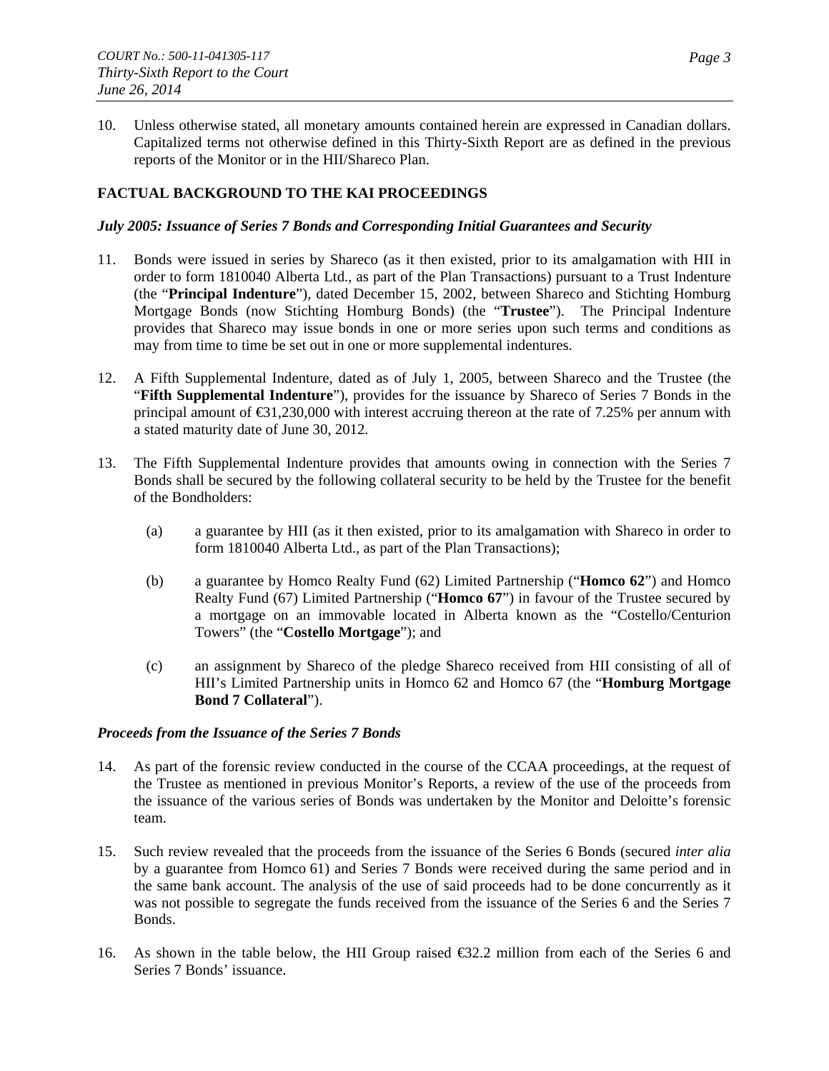10. Unless otherwise stated, all monetary amounts contained herein are expressed in Canadian dollars. Capitalized terms not otherwise defined in this Thirty-Sixth Report are as defined in the previous reports of the Monitor or in the HII/Shareco Plan.

# **FACTUAL BACKGROUND TO THE KAI PROCEEDINGS**

#### *July 2005: Issuance of Series 7 Bonds and Corresponding Initial Guarantees and Security*

- 11. Bonds were issued in series by Shareco (as it then existed, prior to its amalgamation with HII in order to form 1810040 Alberta Ltd., as part of the Plan Transactions) pursuant to a Trust Indenture (the "**Principal Indenture**"), dated December 15, 2002, between Shareco and Stichting Homburg Mortgage Bonds (now Stichting Homburg Bonds) (the "**Trustee**"). The Principal Indenture provides that Shareco may issue bonds in one or more series upon such terms and conditions as may from time to time be set out in one or more supplemental indentures.
- 12. A Fifth Supplemental Indenture, dated as of July 1, 2005, between Shareco and the Trustee (the "**Fifth Supplemental Indenture**"), provides for the issuance by Shareco of Series 7 Bonds in the principal amount of  $\text{\textsterling}31,230,000$  with interest accruing thereon at the rate of 7.25% per annum with a stated maturity date of June 30, 2012.
- 13. The Fifth Supplemental Indenture provides that amounts owing in connection with the Series 7 Bonds shall be secured by the following collateral security to be held by the Trustee for the benefit of the Bondholders:
	- (a) a guarantee by HII (as it then existed, prior to its amalgamation with Shareco in order to form 1810040 Alberta Ltd., as part of the Plan Transactions);
	- (b) a guarantee by Homco Realty Fund (62) Limited Partnership ("**Homco 62**") and Homco Realty Fund (67) Limited Partnership ("**Homco 67**") in favour of the Trustee secured by a mortgage on an immovable located in Alberta known as the "Costello/Centurion Towers" (the "**Costello Mortgage**"); and
	- (c) an assignment by Shareco of the pledge Shareco received from HII consisting of all of HII's Limited Partnership units in Homco 62 and Homco 67 (the "**Homburg Mortgage Bond 7 Collateral**").

## *Proceeds from the Issuance of the Series 7 Bonds*

- 14. As part of the forensic review conducted in the course of the CCAA proceedings, at the request of the Trustee as mentioned in previous Monitor's Reports, a review of the use of the proceeds from the issuance of the various series of Bonds was undertaken by the Monitor and Deloitte's forensic team.
- 15. Such review revealed that the proceeds from the issuance of the Series 6 Bonds (secured *inter alia*  by a guarantee from Homco 61) and Series 7 Bonds were received during the same period and in the same bank account. The analysis of the use of said proceeds had to be done concurrently as it was not possible to segregate the funds received from the issuance of the Series 6 and the Series 7 Bonds.
- 16. As shown in the table below, the HII Group raised  $\epsilon$ 32.2 million from each of the Series 6 and Series 7 Bonds' issuance.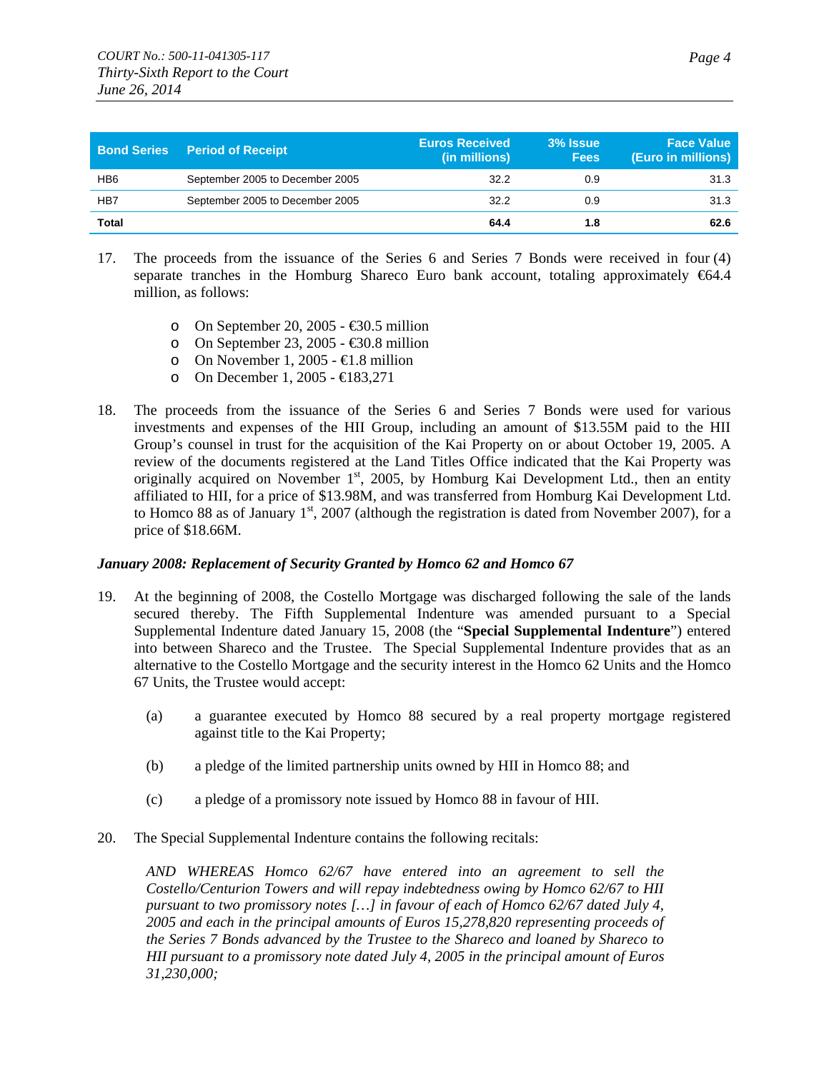|                 | <b>Bond Series Period of Receipt</b> | <b>Euros Received</b><br>(in millions) | 3% Issue<br><b>Fees</b> | <b>Face Value</b><br>(Euro in millions) |
|-----------------|--------------------------------------|----------------------------------------|-------------------------|-----------------------------------------|
| HB <sub>6</sub> | September 2005 to December 2005      | 32.2                                   | 0.9                     | 31.3                                    |
| HB7             | September 2005 to December 2005      | 32.2                                   | 0.9                     | 31.3                                    |
| <b>Total</b>    |                                      | 64.4                                   | 1.8                     | 62.6                                    |

- 17. The proceeds from the issuance of the Series 6 and Series 7 Bonds were received in four (4) separate tranches in the Homburg Shareco Euro bank account, totaling approximately  $664.4$ million, as follows:
	- o On September 20, 2005 €30.5 million
	- o On September 23, 2005  $\text{\textsterling}0.8$  million
	- o On November 1, 2005  $\text{\textsterling}1.8$  million
	- o On December 1, 2005 €183,271
- 18. The proceeds from the issuance of the Series 6 and Series 7 Bonds were used for various investments and expenses of the HII Group, including an amount of \$13.55M paid to the HII Group's counsel in trust for the acquisition of the Kai Property on or about October 19, 2005. A review of the documents registered at the Land Titles Office indicated that the Kai Property was originally acquired on November 1<sup>st</sup>, 2005, by Homburg Kai Development Ltd., then an entity affiliated to HII, for a price of \$13.98M, and was transferred from Homburg Kai Development Ltd. to Homco 88 as of January  $1<sup>st</sup>$ , 2007 (although the registration is dated from November 2007), for a price of \$18.66M.

#### *January 2008: Replacement of Security Granted by Homco 62 and Homco 67*

- 19. At the beginning of 2008, the Costello Mortgage was discharged following the sale of the lands secured thereby. The Fifth Supplemental Indenture was amended pursuant to a Special Supplemental Indenture dated January 15, 2008 (the "**Special Supplemental Indenture**") entered into between Shareco and the Trustee. The Special Supplemental Indenture provides that as an alternative to the Costello Mortgage and the security interest in the Homco 62 Units and the Homco 67 Units, the Trustee would accept:
	- (a) a guarantee executed by Homco 88 secured by a real property mortgage registered against title to the Kai Property;
	- (b) a pledge of the limited partnership units owned by HII in Homco 88; and
	- (c) a pledge of a promissory note issued by Homco 88 in favour of HII.
- 20. The Special Supplemental Indenture contains the following recitals:

*AND WHEREAS Homco 62/67 have entered into an agreement to sell the Costello/Centurion Towers and will repay indebtedness owing by Homco 62/67 to HII pursuant to two promissory notes […] in favour of each of Homco 62/67 dated July 4, 2005 and each in the principal amounts of Euros 15,278,820 representing proceeds of the Series 7 Bonds advanced by the Trustee to the Shareco and loaned by Shareco to HII pursuant to a promissory note dated July 4, 2005 in the principal amount of Euros 31,230,000;*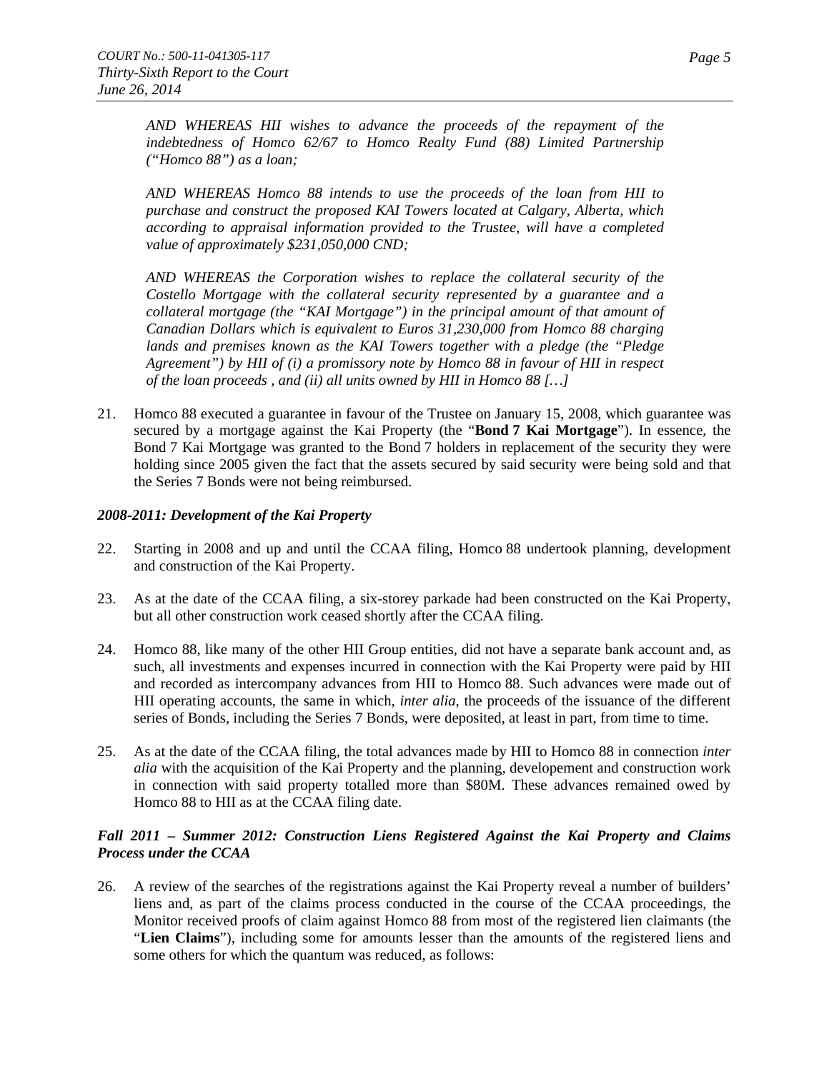*AND WHEREAS HII wishes to advance the proceeds of the repayment of the indebtedness of Homco 62/67 to Homco Realty Fund (88) Limited Partnership ("Homco 88") as a loan;* 

*AND WHEREAS Homco 88 intends to use the proceeds of the loan from HII to purchase and construct the proposed KAI Towers located at Calgary, Alberta, which according to appraisal information provided to the Trustee, will have a completed value of approximately \$231,050,000 CND;* 

*AND WHEREAS the Corporation wishes to replace the collateral security of the Costello Mortgage with the collateral security represented by a guarantee and a collateral mortgage (the "KAI Mortgage") in the principal amount of that amount of Canadian Dollars which is equivalent to Euros 31,230,000 from Homco 88 charging lands and premises known as the KAI Towers together with a pledge (the "Pledge Agreement") by HII of (i) a promissory note by Homco 88 in favour of HII in respect of the loan proceeds , and (ii) all units owned by HII in Homco 88 […]* 

21. Homco 88 executed a guarantee in favour of the Trustee on January 15, 2008, which guarantee was secured by a mortgage against the Kai Property (the "**Bond 7 Kai Mortgage**"). In essence, the Bond 7 Kai Mortgage was granted to the Bond 7 holders in replacement of the security they were holding since 2005 given the fact that the assets secured by said security were being sold and that the Series 7 Bonds were not being reimbursed.

#### *2008-2011: Development of the Kai Property*

- 22. Starting in 2008 and up and until the CCAA filing, Homco 88 undertook planning, development and construction of the Kai Property.
- 23. As at the date of the CCAA filing, a six-storey parkade had been constructed on the Kai Property, but all other construction work ceased shortly after the CCAA filing.
- 24. Homco 88, like many of the other HII Group entities, did not have a separate bank account and, as such, all investments and expenses incurred in connection with the Kai Property were paid by HII and recorded as intercompany advances from HII to Homco 88. Such advances were made out of HII operating accounts, the same in which, *inter alia*, the proceeds of the issuance of the different series of Bonds, including the Series 7 Bonds, were deposited, at least in part, from time to time.
- 25. As at the date of the CCAA filing, the total advances made by HII to Homco 88 in connection *inter alia* with the acquisition of the Kai Property and the planning, developement and construction work in connection with said property totalled more than \$80M. These advances remained owed by Homco 88 to HII as at the CCAA filing date.

## *Fall 2011 – Summer 2012: Construction Liens Registered Against the Kai Property and Claims Process under the CCAA*

26. A review of the searches of the registrations against the Kai Property reveal a number of builders' liens and, as part of the claims process conducted in the course of the CCAA proceedings, the Monitor received proofs of claim against Homco 88 from most of the registered lien claimants (the "**Lien Claims**"), including some for amounts lesser than the amounts of the registered liens and some others for which the quantum was reduced, as follows: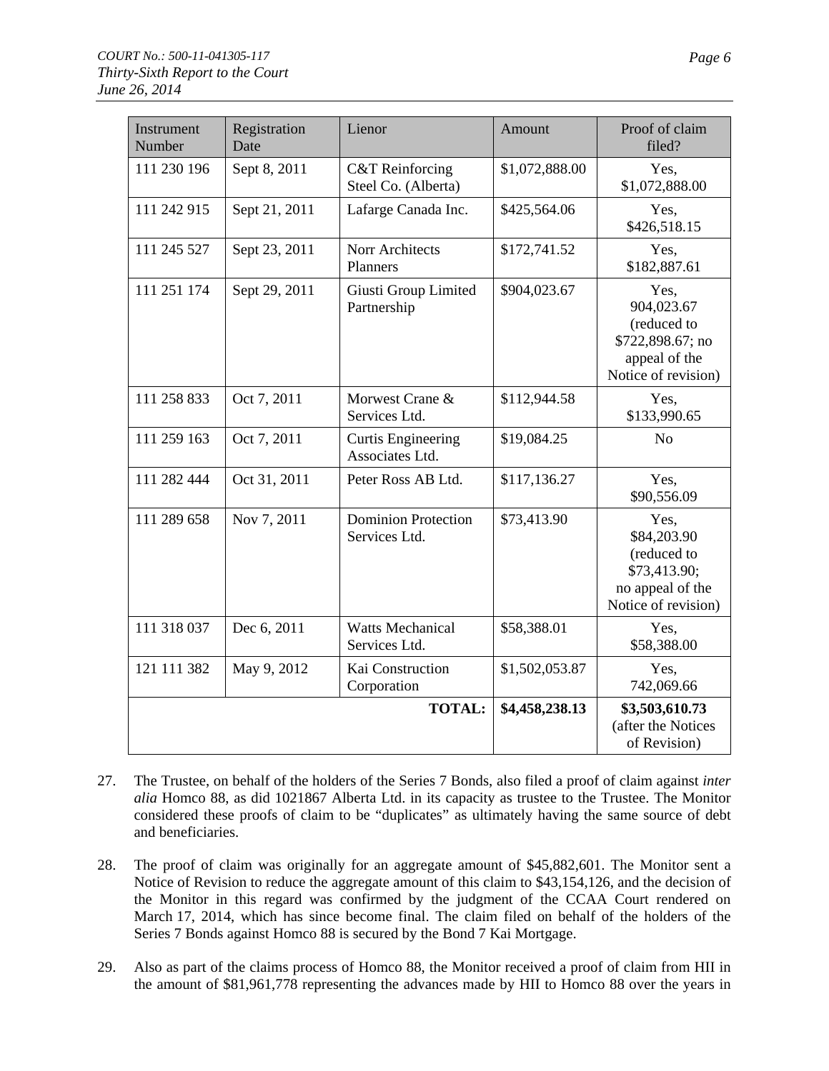| Instrument<br>Number | Registration<br>Date | Lienor                                            | Amount         | Proof of claim<br>filed?                                                                      |
|----------------------|----------------------|---------------------------------------------------|----------------|-----------------------------------------------------------------------------------------------|
| 111 230 196          | Sept 8, 2011         | <b>C&amp;T</b> Reinforcing<br>Steel Co. (Alberta) | \$1,072,888.00 | Yes,<br>\$1,072,888.00                                                                        |
| 111 242 915          | Sept 21, 2011        | Lafarge Canada Inc.                               | \$425,564.06   | Yes,<br>\$426,518.15                                                                          |
| 111 245 527          | Sept 23, 2011        | Norr Architects<br>Planners                       | \$172,741.52   | Yes,<br>\$182,887.61                                                                          |
| 111 251 174          | Sept 29, 2011        | Giusti Group Limited<br>Partnership               | \$904,023.67   | Yes,<br>904,023.67<br>(reduced to<br>\$722,898.67; no<br>appeal of the<br>Notice of revision) |
| 111 258 833          | Oct 7, 2011          | Morwest Crane &<br>Services Ltd.                  | \$112,944.58   | Yes,<br>\$133,990.65                                                                          |
| 111 259 163          | Oct 7, 2011          | <b>Curtis Engineering</b><br>Associates Ltd.      | \$19,084.25    | N <sub>o</sub>                                                                                |
| 111 282 444          | Oct 31, 2011         | Peter Ross AB Ltd.                                | \$117,136.27   | Yes,<br>\$90,556.09                                                                           |
| 111 289 658          | Nov 7, 2011          | <b>Dominion Protection</b><br>Services Ltd.       | \$73,413.90    | Yes,<br>\$84,203.90<br>(reduced to<br>\$73,413.90;<br>no appeal of the<br>Notice of revision) |
| 111 318 037          | Dec 6, 2011          | <b>Watts Mechanical</b><br>Services Ltd.          | \$58,388.01    | Yes,<br>\$58,388.00                                                                           |
| 121 111 382          | May 9, 2012          | Kai Construction<br>Corporation                   | \$1,502,053.87 | Yes,<br>742,069.66                                                                            |
|                      |                      | <b>TOTAL:</b>                                     | \$4,458,238.13 | \$3,503,610.73<br>(after the Notices<br>of Revision)                                          |

- 27. The Trustee, on behalf of the holders of the Series 7 Bonds, also filed a proof of claim against *inter alia* Homco 88, as did 1021867 Alberta Ltd. in its capacity as trustee to the Trustee. The Monitor considered these proofs of claim to be "duplicates" as ultimately having the same source of debt and beneficiaries.
- 28. The proof of claim was originally for an aggregate amount of \$45,882,601. The Monitor sent a Notice of Revision to reduce the aggregate amount of this claim to \$43,154,126, and the decision of the Monitor in this regard was confirmed by the judgment of the CCAA Court rendered on March 17, 2014, which has since become final. The claim filed on behalf of the holders of the Series 7 Bonds against Homco 88 is secured by the Bond 7 Kai Mortgage.
- 29. Also as part of the claims process of Homco 88, the Monitor received a proof of claim from HII in the amount of \$81,961,778 representing the advances made by HII to Homco 88 over the years in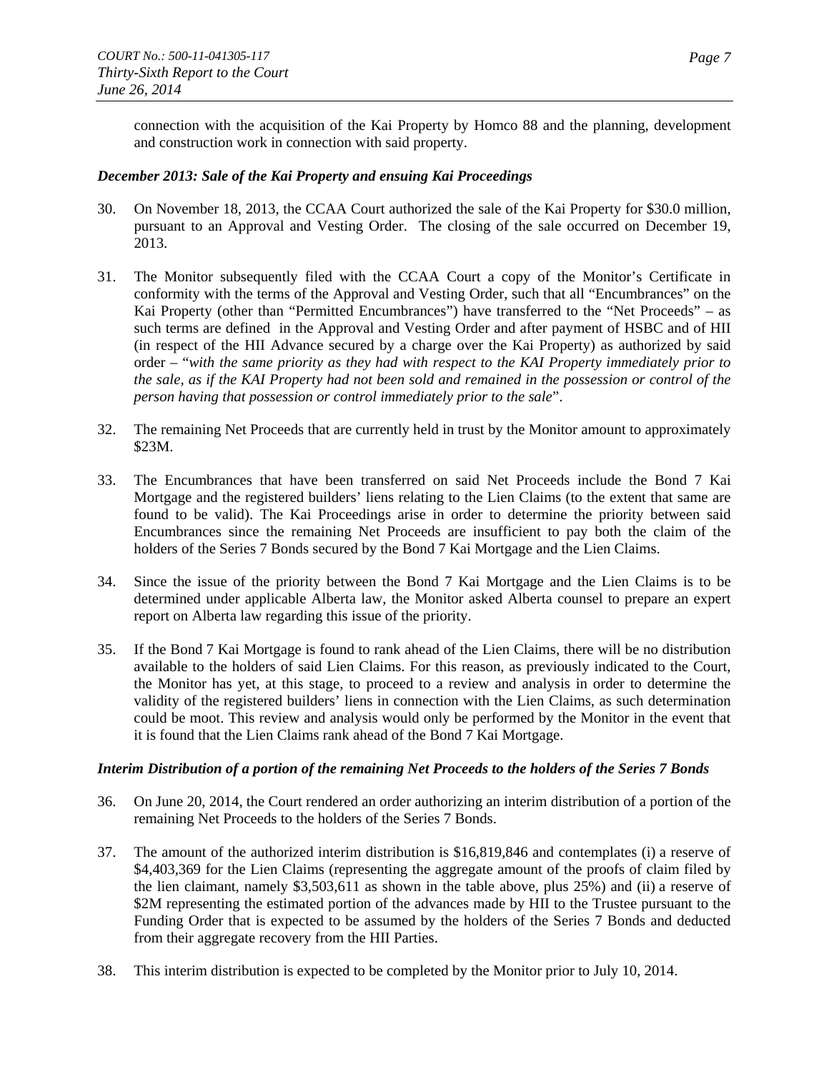connection with the acquisition of the Kai Property by Homco 88 and the planning, development and construction work in connection with said property.

## *December 2013: Sale of the Kai Property and ensuing Kai Proceedings*

- 30. On November 18, 2013, the CCAA Court authorized the sale of the Kai Property for \$30.0 million, pursuant to an Approval and Vesting Order. The closing of the sale occurred on December 19, 2013.
- 31. The Monitor subsequently filed with the CCAA Court a copy of the Monitor's Certificate in conformity with the terms of the Approval and Vesting Order, such that all "Encumbrances" on the Kai Property (other than "Permitted Encumbrances") have transferred to the "Net Proceeds" – as such terms are defined in the Approval and Vesting Order and after payment of HSBC and of HII (in respect of the HII Advance secured by a charge over the Kai Property) as authorized by said order – "*with the same priority as they had with respect to the KAI Property immediately prior to the sale, as if the KAI Property had not been sold and remained in the possession or control of the person having that possession or control immediately prior to the sale*".
- 32. The remaining Net Proceeds that are currently held in trust by the Monitor amount to approximately \$23M.
- 33. The Encumbrances that have been transferred on said Net Proceeds include the Bond 7 Kai Mortgage and the registered builders' liens relating to the Lien Claims (to the extent that same are found to be valid). The Kai Proceedings arise in order to determine the priority between said Encumbrances since the remaining Net Proceeds are insufficient to pay both the claim of the holders of the Series 7 Bonds secured by the Bond 7 Kai Mortgage and the Lien Claims.
- 34. Since the issue of the priority between the Bond 7 Kai Mortgage and the Lien Claims is to be determined under applicable Alberta law, the Monitor asked Alberta counsel to prepare an expert report on Alberta law regarding this issue of the priority.
- 35. If the Bond 7 Kai Mortgage is found to rank ahead of the Lien Claims, there will be no distribution available to the holders of said Lien Claims. For this reason, as previously indicated to the Court, the Monitor has yet, at this stage, to proceed to a review and analysis in order to determine the validity of the registered builders' liens in connection with the Lien Claims, as such determination could be moot. This review and analysis would only be performed by the Monitor in the event that it is found that the Lien Claims rank ahead of the Bond 7 Kai Mortgage.

## *Interim Distribution of a portion of the remaining Net Proceeds to the holders of the Series 7 Bonds*

- 36. On June 20, 2014, the Court rendered an order authorizing an interim distribution of a portion of the remaining Net Proceeds to the holders of the Series 7 Bonds.
- 37. The amount of the authorized interim distribution is \$16,819,846 and contemplates (i) a reserve of \$4,403,369 for the Lien Claims (representing the aggregate amount of the proofs of claim filed by the lien claimant, namely \$3,503,611 as shown in the table above, plus 25%) and (ii) a reserve of \$2M representing the estimated portion of the advances made by HII to the Trustee pursuant to the Funding Order that is expected to be assumed by the holders of the Series 7 Bonds and deducted from their aggregate recovery from the HII Parties.
- 38. This interim distribution is expected to be completed by the Monitor prior to July 10, 2014.